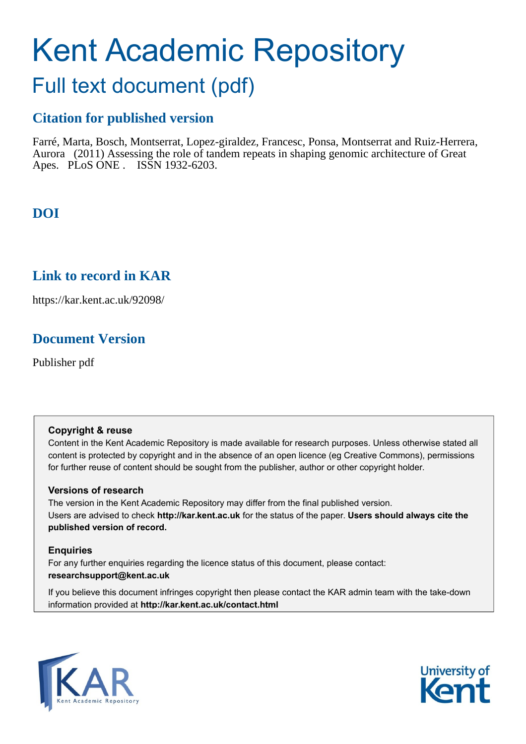# Kent Academic Repository

# Full text document (pdf)

## **Citation for published version**

Farré, Marta, Bosch, Montserrat, Lopez-giraldez, Francesc, Ponsa, Montserrat and Ruiz-Herrera, Aurora (2011) Assessing the role of tandem repeats in shaping genomic architecture of Great Apes. PLoS ONE . ISSN 1932-6203.

# **DOI**

## **Link to record in KAR**

https://kar.kent.ac.uk/92098/

## **Document Version**

Publisher pdf

## **Copyright & reuse**

Content in the Kent Academic Repository is made available for research purposes. Unless otherwise stated all content is protected by copyright and in the absence of an open licence (eg Creative Commons), permissions for further reuse of content should be sought from the publisher, author or other copyright holder.

## **Versions of research**

The version in the Kent Academic Repository may differ from the final published version. Users are advised to check **http://kar.kent.ac.uk** for the status of the paper. **Users should always cite the published version of record.**

## **Enquiries**

For any further enquiries regarding the licence status of this document, please contact: **researchsupport@kent.ac.uk**

If you believe this document infringes copyright then please contact the KAR admin team with the take-down information provided at **http://kar.kent.ac.uk/contact.html**



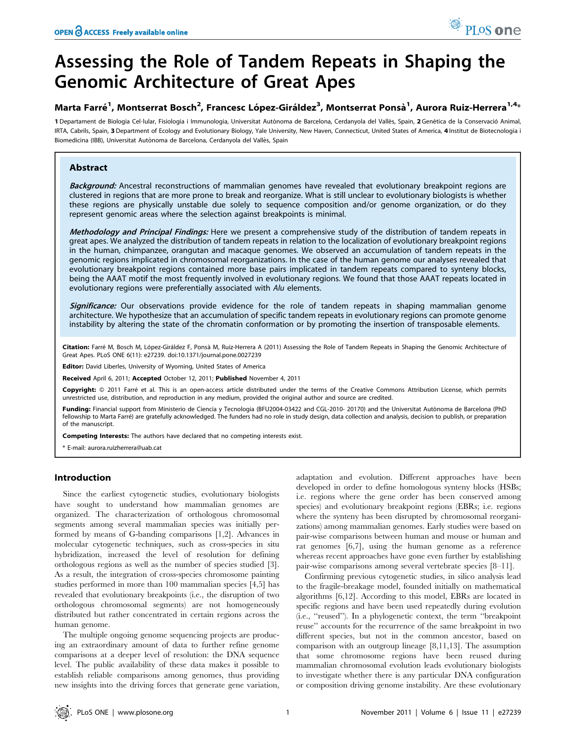# Assessing the Role of Tandem Repeats in Shaping the Genomic Architecture of Great Apes

### Marta Farré<sup>1</sup>, Montserrat Bosch<sup>2</sup>, Francesc López-Giráldez<sup>3</sup>, Montserrat Ponsà<sup>1</sup>, Aurora Ruiz-Herrera<sup>1,4</sup>\*

1 Departament de Biologia Cel·lular, Fisiologia i Immunologia, Universitat Autònoma de Barcelona, Cerdanyola del Vallès, Spain, 2 Genètica de la Conservació Animal, IRTA, Cabrils, Spain, 3 Department of Ecology and Evolutionary Biology, Yale University, New Haven, Connecticut, United States of America, 4 Institut de Biotecnologia i Biomedicina (IBB), Universitat Autònoma de Barcelona, Cerdanyola del Vallès, Spain

#### Abstract

Background: Ancestral reconstructions of mammalian genomes have revealed that evolutionary breakpoint regions are clustered in regions that are more prone to break and reorganize. What is still unclear to evolutionary biologists is whether these regions are physically unstable due solely to sequence composition and/or genome organization, or do they represent genomic areas where the selection against breakpoints is minimal.

Methodology and Principal Findings: Here we present a comprehensive study of the distribution of tandem repeats in great apes. We analyzed the distribution of tandem repeats in relation to the localization of evolutionary breakpoint regions in the human, chimpanzee, orangutan and macaque genomes. We observed an accumulation of tandem repeats in the genomic regions implicated in chromosomal reorganizations. In the case of the human genome our analyses revealed that evolutionary breakpoint regions contained more base pairs implicated in tandem repeats compared to synteny blocks, being the AAAT motif the most frequently involved in evolutionary regions. We found that those AAAT repeats located in evolutionary regions were preferentially associated with Alu elements.

Significance: Our observations provide evidence for the role of tandem repeats in shaping mammalian genome architecture. We hypothesize that an accumulation of specific tandem repeats in evolutionary regions can promote genome instability by altering the state of the chromatin conformation or by promoting the insertion of transposable elements.

Citation: Farré M, Bosch M, López-Giráldez F, Ponsà M, Ruiz-Herrera A (2011) Assessing the Role of Tandem Repeats in Shaping the Genomic Architecture of Great Apes. PLoS ONE 6(11): e27239. doi:10.1371/journal.pone.0027239

Editor: David Liberles, University of Wyoming, United States of America

Received April 6, 2011; Accepted October 12, 2011; Published November 4, 2011

Copyright: © 2011 Farré et al. This is an open-access article distributed under the terms of the Creative Commons Attribution License, which permits unrestricted use, distribution, and reproduction in any medium, provided the original author and source are credited.

Funding: Financial support from Ministerio de Ciencia y Tecnologia (BFU2004-03422 and CGL-2010- 20170) and the Universitat Autònoma de Barcelona (PhD fellowship to Marta Farré) are gratefully acknowledged. The funders had no role in study design, data collection and analysis, decision to publish, or preparation of the manuscript.

Competing Interests: The authors have declared that no competing interests exist.

\* E-mail: aurora.ruizherrera@uab.cat

#### Introduction

Since the earliest cytogenetic studies, evolutionary biologists have sought to understand how mammalian genomes are organized. The characterization of orthologous chromosomal segments among several mammalian species was initially performed by means of G-banding comparisons [1,2]. Advances in molecular cytogenetic techniques, such as cross-species in situ hybridization, increased the level of resolution for defining orthologous regions as well as the number of species studied [3]. As a result, the integration of cross-species chromosome painting studies performed in more than 100 mammalian species [4,5] has revealed that evolutionary breakpoints (i.e., the disruption of two orthologous chromosomal segments) are not homogeneously distributed but rather concentrated in certain regions across the human genome.

The multiple ongoing genome sequencing projects are producing an extraordinary amount of data to further refine genome comparisons at a deeper level of resolution: the DNA sequence level. The public availability of these data makes it possible to establish reliable comparisons among genomes, thus providing new insights into the driving forces that generate gene variation, adaptation and evolution. Different approaches have been developed in order to define homologous synteny blocks (HSBs; i.e. regions where the gene order has been conserved among species) and evolutionary breakpoint regions (EBRs; i.e. regions where the synteny has been disrupted by chromosomal reorganizations) among mammalian genomes. Early studies were based on pair-wise comparisons between human and mouse or human and rat genomes [6,7], using the human genome as a reference whereas recent approaches have gone even further by establishing pair-wise comparisons among several vertebrate species [8–11].

Confirming previous cytogenetic studies, in silico analysis lead to the fragile-breakage model, founded initially on mathematical algorithms [6,12]. According to this model, EBRs are located in specific regions and have been used repeatedly during evolution (i.e., ''reused''). In a phylogenetic context, the term ''breakpoint reuse'' accounts for the recurrence of the same breakpoint in two different species, but not in the common ancestor, based on comparison with an outgroup lineage [8,11,13]. The assumption that some chromosome regions have been reused during mammalian chromosomal evolution leads evolutionary biologists to investigate whether there is any particular DNA configuration or composition driving genome instability. Are these evolutionary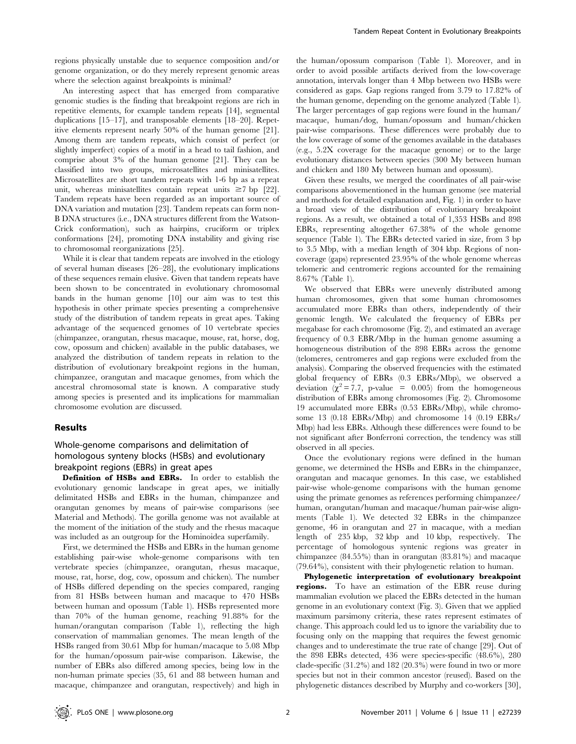regions physically unstable due to sequence composition and/or genome organization, or do they merely represent genomic areas where the selection against breakpoints is minimal?

An interesting aspect that has emerged from comparative genomic studies is the finding that breakpoint regions are rich in repetitive elements, for example tandem repeats [14], segmental duplications [15–17], and transposable elements [18–20]. Repetitive elements represent nearly 50% of the human genome [21]. Among them are tandem repeats, which consist of perfect (or slightly imperfect) copies of a motif in a head to tail fashion, and comprise about 3% of the human genome [21]. They can be classified into two groups, microsatellites and minisatellites. Microsatellites are short tandem repeats with 1-6 bp as a repeat unit, whereas minisatellites contain repeat units  $\geq 7$  bp [22]. Tandem repeats have been regarded as an important source of DNA variation and mutation [23]. Tandem repeats can form non-B DNA structures (i.e., DNA structures different from the Watson-Crick conformation), such as hairpins, cruciform or triplex conformations [24], promoting DNA instability and giving rise to chromosomal reorganizations [25].

While it is clear that tandem repeats are involved in the etiology of several human diseases [26–28], the evolutionary implications of these sequences remain elusive. Given that tandem repeats have been shown to be concentrated in evolutionary chromosomal bands in the human genome [10] our aim was to test this hypothesis in other primate species presenting a comprehensive study of the distribution of tandem repeats in great apes. Taking advantage of the sequenced genomes of 10 vertebrate species (chimpanzee, orangutan, rhesus macaque, mouse, rat, horse, dog, cow, opossum and chicken) available in the public databases, we analyzed the distribution of tandem repeats in relation to the distribution of evolutionary breakpoint regions in the human, chimpanzee, orangutan and macaque genomes, from which the ancestral chromosomal state is known. A comparative study among species is presented and its implications for mammalian chromosome evolution are discussed.

#### Results

#### Whole-genome comparisons and delimitation of homologous synteny blocks (HSBs) and evolutionary breakpoint regions (EBRs) in great apes

Definition of HSBs and EBRs. In order to establish the evolutionary genomic landscape in great apes, we initially delimitated HSBs and EBRs in the human, chimpanzee and orangutan genomes by means of pair-wise comparisons (see Material and Methods). The gorilla genome was not available at the moment of the initiation of the study and the rhesus macaque was included as an outgroup for the Hominoidea superfamily.

First, we determined the HSBs and EBRs in the human genome establishing pair-wise whole-genome comparisons with ten vertebrate species (chimpanzee, orangutan, rhesus macaque, mouse, rat, horse, dog, cow, opossum and chicken). The number of HSBs differed depending on the species compared, ranging from 81 HSBs between human and macaque to 470 HSBs between human and opossum (Table 1). HSBs represented more than 70% of the human genome, reaching 91.88% for the human/orangutan comparison (Table 1), reflecting the high conservation of mammalian genomes. The mean length of the HSBs ranged from 30.61 Mbp for human/macaque to 5.08 Mbp for the human/opossum pair-wise comparison. Likewise, the number of EBRs also differed among species, being low in the non-human primate species (35, 61 and 88 between human and macaque, chimpanzee and orangutan, respectively) and high in the human/opossum comparison (Table 1). Moreover, and in order to avoid possible artifacts derived from the low-coverage annotation, intervals longer than 4 Mbp between two HSBs were considered as gaps. Gap regions ranged from 3.79 to 17.82% of the human genome, depending on the genome analyzed (Table 1). The larger percentages of gap regions were found in the human/ macaque, human/dog, human/opossum and human/chicken pair-wise comparisons. These differences were probably due to the low coverage of some of the genomes available in the databases (e.g., 5.2X coverage for the macaque genome) or to the large evolutionary distances between species (300 My between human and chicken and 180 My between human and opossum).

Given these results, we merged the coordinates of all pair-wise comparisons abovementioned in the human genome (see material and methods for detailed explanation and, Fig. 1) in order to have a broad view of the distribution of evolutionary breakpoint regions. As a result, we obtained a total of 1,353 HSBs and 898 EBRs, representing altogether 67.38% of the whole genome sequence (Table 1). The EBRs detected varied in size, from 3 bp to 3.5 Mbp, with a median length of 304 kbp. Regions of noncoverage (gaps) represented 23.95% of the whole genome whereas telomeric and centromeric regions accounted for the remaining 8.67% (Table 1).

We observed that EBRs were unevenly distributed among human chromosomes, given that some human chromosomes accumulated more EBRs than others, independently of their genomic length. We calculated the frequency of EBRs per megabase for each chromosome (Fig. 2), and estimated an average frequency of 0.3 EBR/Mbp in the human genome assuming a homogeneous distribution of the 898 EBRs across the genome (telomeres, centromeres and gap regions were excluded from the analysis). Comparing the observed frequencies with the estimated global frequency of EBRs (0.3 EBRs/Mbp), we observed a deviation  $(\chi^2 = 7.7, \text{ p-value } = 0.005)$  from the homogeneous distribution of EBRs among chromosomes (Fig. 2). Chromosome 19 accumulated more EBRs (0.53 EBRs/Mbp), while chromosome 13 (0.18 EBRs/Mbp) and chromosome 14 (0.19 EBRs/ Mbp) had less EBRs. Although these differences were found to be not significant after Bonferroni correction, the tendency was still observed in all species.

Once the evolutionary regions were defined in the human genome, we determined the HSBs and EBRs in the chimpanzee, orangutan and macaque genomes. In this case, we established pair-wise whole-genome comparisons with the human genome using the primate genomes as references performing chimpanzee/ human, orangutan/human and macaque/human pair-wise alignments (Table 1). We detected 32 EBRs in the chimpanzee genome, 46 in orangutan and 27 in macaque, with a median length of 235 kbp, 32 kbp and 10 kbp, respectively. The percentage of homologous syntenic regions was greater in chimpanzee (84.55%) than in orangutan (83.81%) and macaque (79.64%), consistent with their phylogenetic relation to human.

Phylogenetic interpretation of evolutionary breakpoint regions. To have an estimation of the EBR reuse during mammalian evolution we placed the EBRs detected in the human genome in an evolutionary context (Fig. 3). Given that we applied maximum parsimony criteria, these rates represent estimates of change. This approach could led us to ignore the variability due to focusing only on the mapping that requires the fewest genomic changes and to underestimate the true rate of change [29]. Out of the 898 EBRs detected, 436 were species-specific (48.6%), 280 clade-specific (31.2%) and 182 (20.3%) were found in two or more species but not in their common ancestor (reused). Based on the phylogenetic distances described by Murphy and co-workers [30],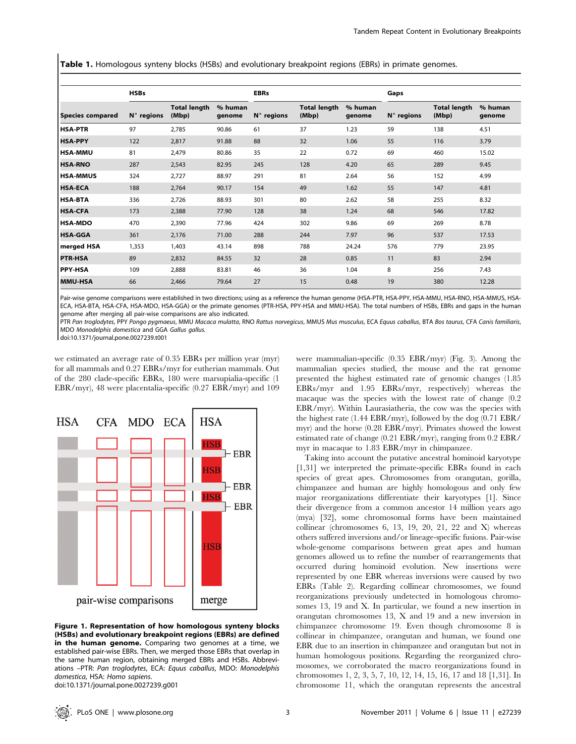**Table 1.** Homologous synteny blocks (HSBs) and evolutionary breakpoint regions (EBRs) in primate genomes.

|                         | <b>HSBs</b>         |                              |                   | <b>EBRs</b>         |                              |                   | Gaps         |                              |                   |
|-------------------------|---------------------|------------------------------|-------------------|---------------------|------------------------------|-------------------|--------------|------------------------------|-------------------|
| <b>Species compared</b> | $N^{\circ}$ regions | <b>Total length</b><br>(Mbp) | % human<br>genome | $N^{\circ}$ regions | <b>Total length</b><br>(Mbp) | % human<br>genome | $N°$ regions | <b>Total length</b><br>(Mbp) | % human<br>genome |
| <b>HSA-PTR</b>          | 97                  | 2,785                        | 90.86             | 61                  | 37                           | 1.23              | 59           | 138                          | 4.51              |
| <b>HSA-PPY</b>          | 122                 | 2,817                        | 91.88             | 88                  | 32                           | 1.06              | 55           | 116                          | 3.79              |
| <b>HSA-MMU</b>          | 81                  | 2,479                        | 80.86             | 35                  | 22                           | 0.72              | 69           | 460                          | 15.02             |
| <b>HSA-RNO</b>          | 287                 | 2,543                        | 82.95             | 245                 | 128                          | 4.20              | 65           | 289                          | 9.45              |
| <b>HSA-MMUS</b>         | 324                 | 2,727                        | 88.97             | 291                 | 81                           | 2.64              | 56           | 152                          | 4.99              |
| <b>HSA-ECA</b>          | 188                 | 2,764                        | 90.17             | 154                 | 49                           | 1.62              | 55           | 147                          | 4.81              |
| <b>HSA-BTA</b>          | 336                 | 2,726                        | 88.93             | 301                 | 80                           | 2.62              | 58           | 255                          | 8.32              |
| <b>HSA-CFA</b>          | 173                 | 2,388                        | 77.90             | 128                 | 38                           | 1.24              | 68           | 546                          | 17.82             |
| <b>HSA-MDO</b>          | 470                 | 2,390                        | 77.96             | 424                 | 302                          | 9.86              | 69           | 269                          | 8.78              |
| <b>HSA-GGA</b>          | 361                 | 2,176                        | 71.00             | 288                 | 244                          | 7.97              | 96           | 537                          | 17.53             |
| <b>I</b> merged HSA     | 1,353               | 1,403                        | 43.14             | 898                 | 788                          | 24.24             | 576          | 779                          | 23.95             |
| <b>PTR-HSA</b>          | 89                  | 2,832                        | 84.55             | 32                  | 28                           | 0.85              | 11           | 83                           | 2.94              |
| <b>PPY-HSA</b>          | 109                 | 2,888                        | 83.81             | 46                  | 36                           | 1.04              | 8            | 256                          | 7.43              |
| <b>MMU-HSA</b>          | 66                  | 2,466                        | 79.64             | 27                  | 15                           | 0.48              | 19           | 380                          | 12.28             |

Pair-wise genome comparisons were established in two directions; using as a reference the human genome (HSA-PTR, HSA-PPY, HSA-MMU, HSA-RNO, HSA-MMUS, HSA-ECA, HSA-BTA, HSA-CFA, HSA-MDO, HSA-GGA) or the primate genomes (PTR-HSA, PPY-HSA and MMU-HSA). The total numbers of HSBs, EBRs and gaps in the human genome after merging all pair-wise comparisons are also indicated.

PTR Pan troglodytes, PPY Pongo pygmaeus, MMU Macaca mulatta, RNO Rattus norvegicus, MMUS Mus musculus, ECA Equus caballus, BTA Bos taurus, CFA Canis familiaris, MDO Monodelphis domestica and GGA Gallus gallus.

doi:10.1371/journal.pone.0027239.t001

we estimated an average rate of 0.35 EBRs per million year (myr) for all mammals and 0.27 EBRs/myr for eutherian mammals. Out of the 280 clade-specific EBRs, 180 were marsupialia-specific (1 EBR/myr), 48 were placentalia-specific (0.27 EBR/myr) and 109



Figure 1. Representation of how homologous synteny blocks (HSBs) and evolutionary breakpoint regions (EBRs) are defined in the human genome. Comparing two genomes at a time, we established pair-wise EBRs. Then, we merged those EBRs that overlap in the same human region, obtaining merged EBRs and HSBs. Abbreviations –PTR: Pan troglodytes, ECA: Equus caballus, MDO: Monodelphis domestica, HSA: Homo sapiens.

doi:10.1371/journal.pone.0027239.g001

were mammalian-specific (0.35 EBR/myr) (Fig. 3). Among the mammalian species studied, the mouse and the rat genome presented the highest estimated rate of genomic changes (1.85 EBRs/myr and 1.95 EBRs/myr, respectively) whereas the macaque was the species with the lowest rate of change (0.2 EBR/myr). Within Laurasiatheria, the cow was the species with the highest rate (1.44 EBR/myr), followed by the dog (0.71 EBR/ myr) and the horse (0.28 EBR/myr). Primates showed the lowest estimated rate of change (0.21 EBR/myr), ranging from 0.2 EBR/ myr in macaque to 1.83 EBR/myr in chimpanzee.

Taking into account the putative ancestral hominoid karyotype [1,31] we interpreted the primate-specific EBRs found in each species of great apes. Chromosomes from orangutan, gorilla, chimpanzee and human are highly homologous and only few major reorganizations differentiate their karyotypes [1]. Since their divergence from a common ancestor 14 million years ago (mya) [32], some chromosomal forms have been maintained collinear (chromosomes  $6, 13, 19, 20, 21, 22$  and  $X$ ) whereas others suffered inversions and/or lineage-specific fusions. Pair-wise whole-genome comparisons between great apes and human genomes allowed us to refine the number of rearrangements that occurred during hominoid evolution. New insertions were represented by one EBR whereas inversions were caused by two EBRs (Table 2). Regarding collinear chromosomes, we found reorganizations previously undetected in homologous chromosomes 13, 19 and X. In particular, we found a new insertion in orangutan chromosomes 13, X and 19 and a new inversion in chimpanzee chromosome 19. Even though chromosome 8 is collinear in chimpanzee, orangutan and human, we found one EBR due to an insertion in chimpanzee and orangutan but not in human homologous positions. Regarding the reorganized chromosomes, we corroborated the macro reorganizations found in chromosomes 1, 2, 3, 5, 7, 10, 12, 14, 15, 16, 17 and 18 [1,31]. In chromosome 11, which the orangutan represents the ancestral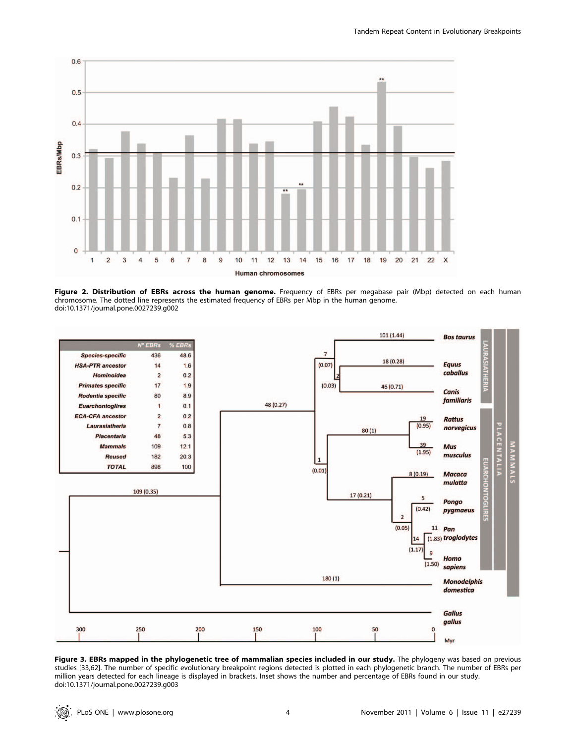

Figure 2. Distribution of EBRs across the human genome. Frequency of EBRs per megabase pair (Mbp) detected on each human chromosome. The dotted line represents the estimated frequency of EBRs per Mbp in the human genome. doi:10.1371/journal.pone.0027239.g002



Figure 3. EBRs mapped in the phylogenetic tree of mammalian species included in our study. The phylogeny was based on previous studies [33,62]. The number of specific evolutionary breakpoint regions detected is plotted in each phylogenetic branch. The number of EBRs per million years detected for each lineage is displayed in brackets. Inset shows the number and percentage of EBRs found in our study. doi:10.1371/journal.pone.0027239.g003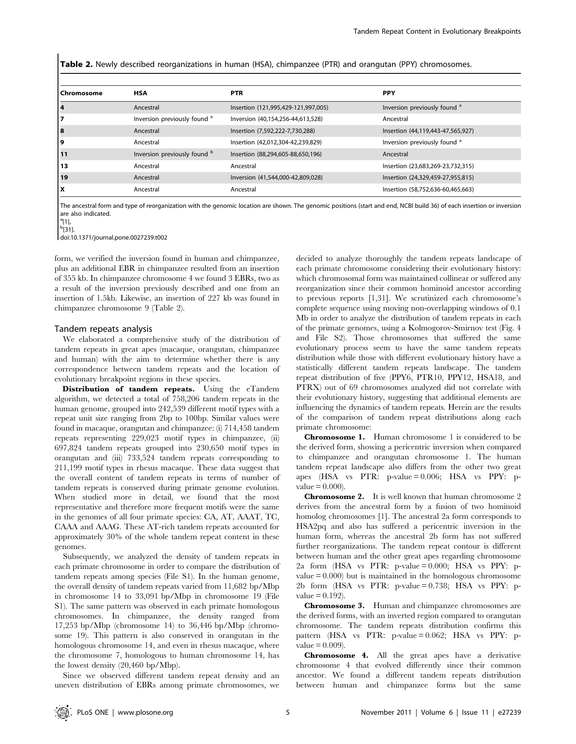Table 2. Newly described reorganizations in human (HSA), chimpanzee (PTR) and orangutan (PPY) chromosomes.

| <b>PPY</b><br><b>HSA</b><br><b>PTR</b><br>Inversion previously found <sup>a</sup><br>Insertion (121,995,429-121,997,005)<br>Ancestral<br>Inversion previously found <sup>a</sup><br>Inversion (40,154,256-44,613,528)<br>Ancestral<br>Insertion (7,592,222-7,730,288)<br>Insertion (44,119,443-47,565,927)<br>Ancestral<br>Inversion previously found <sup>a</sup><br>Insertion (42,012,304-42,239,829)<br>Ancestral<br>Inversion previously found <sup>b</sup><br>Insertion (88,294,605-88,650,196)<br>Ancestral |              |  |  |
|-------------------------------------------------------------------------------------------------------------------------------------------------------------------------------------------------------------------------------------------------------------------------------------------------------------------------------------------------------------------------------------------------------------------------------------------------------------------------------------------------------------------|--------------|--|--|
|                                                                                                                                                                                                                                                                                                                                                                                                                                                                                                                   | l Chromosome |  |  |
|                                                                                                                                                                                                                                                                                                                                                                                                                                                                                                                   | 14           |  |  |
|                                                                                                                                                                                                                                                                                                                                                                                                                                                                                                                   | 17           |  |  |
|                                                                                                                                                                                                                                                                                                                                                                                                                                                                                                                   | 8            |  |  |
|                                                                                                                                                                                                                                                                                                                                                                                                                                                                                                                   | و ا          |  |  |
|                                                                                                                                                                                                                                                                                                                                                                                                                                                                                                                   | 11           |  |  |
| Insertion (23,683,269-23,732,315)<br>Ancestral<br>Ancestral                                                                                                                                                                                                                                                                                                                                                                                                                                                       | l 13         |  |  |
| Inversion (41,544,000-42,809,028)<br>Insertion (24,329,459-27,955,815)<br>Ancestral                                                                                                                                                                                                                                                                                                                                                                                                                               | 19           |  |  |
| Insertion (58,752,636-60,465,663)<br>Ancestral<br>Ancestral                                                                                                                                                                                                                                                                                                                                                                                                                                                       | ١x           |  |  |

The ancestral form and type of reorganization with the genomic location are shown. The genomic positions (start and end, NCBI build 36) of each insertion or inversion are also indicated.

<sup>a</sup>[1], <sup>b</sup>[31].

doi:10.1371/journal.pone.0027239.t002

form, we verified the inversion found in human and chimpanzee, plus an additional EBR in chimpanzee resulted from an insertion of 355 kb. In chimpanzee chromosome 4 we found 3 EBRs, two as a result of the inversion previously described and one from an insertion of 1.5kb. Likewise, an insertion of 227 kb was found in chimpanzee chromosome 9 (Table 2).

#### Tandem repeats analysis

We elaborated a comprehensive study of the distribution of tandem repeats in great apes (macaque, orangutan, chimpanzee and human) with the aim to determine whether there is any correspondence between tandem repeats and the location of evolutionary breakpoint regions in these species.

Distribution of tandem repeats. Using the eTandem algorithm, we detected a total of 758,206 tandem repeats in the human genome, grouped into 242,539 different motif types with a repeat unit size ranging from 2bp to 100bp. Similar values were found in macaque, orangutan and chimpanzee: (i) 714,458 tandem repeats representing 229,023 motif types in chimpanzee, (ii) 697,824 tandem repeats grouped into 230,650 motif types in orangutan and (iii) 733,524 tandem repeats corresponding to 211,199 motif types in rhesus macaque. These data suggest that the overall content of tandem repeats in terms of number of tandem repeats is conserved during primate genome evolution. When studied more in detail, we found that the most representative and therefore more frequent motifs were the same in the genomes of all four primate species: CA, AT, AAAT, TC, CAAA and AAAG. These AT-rich tandem repeats accounted for approximately 30% of the whole tandem repeat content in these genomes.

Subsequently, we analyzed the density of tandem repeats in each primate chromosome in order to compare the distribution of tandem repeats among species (File S1). In the human genome, the overall density of tandem repeats varied from 11,682 bp/Mbp in chromosome 14 to 33,091 bp/Mbp in chromosome 19 (File S1). The same pattern was observed in each primate homologous chromosomes. In chimpanzee, the density ranged from 17,253 bp/Mbp (chromosome 14) to 36,446 bp/Mbp (chromosome 19). This pattern is also conserved in orangutan in the homologous chromosome 14, and even in rhesus macaque, where the chromosome 7, homologous to human chromosome 14, has the lowest density (20,460 bp/Mbp).

Since we observed different tandem repeat density and an uneven distribution of EBRs among primate chromosomes, we

decided to analyze thoroughly the tandem repeats landscape of each primate chromosome considering their evolutionary history: which chromosomal form was maintained collinear or suffered any reorganization since their common hominoid ancestor according to previous reports [1,31]. We scrutinized each chromosome's complete sequence using moving non-overlapping windows of 0.1 Mb in order to analyze the distribution of tandem repeats in each of the primate genomes, using a Kolmogorov-Smirnov test (Fig. 4 and File S2). Those chromosomes that suffered the same evolutionary process seem to have the same tandem repeats distribution while those with different evolutionary history have a statistically different tandem repeats landscape. The tandem repeat distribution of five (PPY6, PTR10, PPY12, HSA18, and PTRX) out of 69 chromosomes analyzed did not correlate with their evolutionary history, suggesting that additional elements are influencing the dynamics of tandem repeats. Herein are the results of the comparison of tandem repeat distributions along each primate chromosome:

Chromosome 1. Human chromosome 1 is considered to be the derived form, showing a pericentric inversion when compared to chimpanzee and orangutan chromosome 1. The human tandem repeat landscape also differs from the other two great apes (HSA vs PTR: p-value = 0.006; HSA vs PPY: p $value = 0.000$ .

Chromosome 2. It is well known that human chromosome 2 derives from the ancestral form by a fusion of two hominoid homolog chromosomes [1]. The ancestral 2a form corresponds to HSA2pq and also has suffered a pericentric inversion in the human form, whereas the ancestral 2b form has not suffered further reorganizations. The tandem repeat contour is different between human and the other great apes regarding chromosome 2a form (HSA vs PTR: p-value = 0.000; HSA vs PPY: p $value = 0.000$  but is maintained in the homologous chromosome 2b form (HSA vs PTR: p-value = 0.738; HSA vs PPY: p $value = 0.192$ .

Chromosome 3. Human and chimpanzee chromosomes are the derived forms, with an inverted region compared to orangutan chromosome. The tandem repeats distribution confirms this pattern (HSA vs PTR: p-value = 0.062; HSA vs PPY: p $value = 0.009$ .

Chromosome 4. All the great apes have a derivative chromosome 4 that evolved differently since their common ancestor. We found a different tandem repeats distribution between human and chimpanzee forms but the same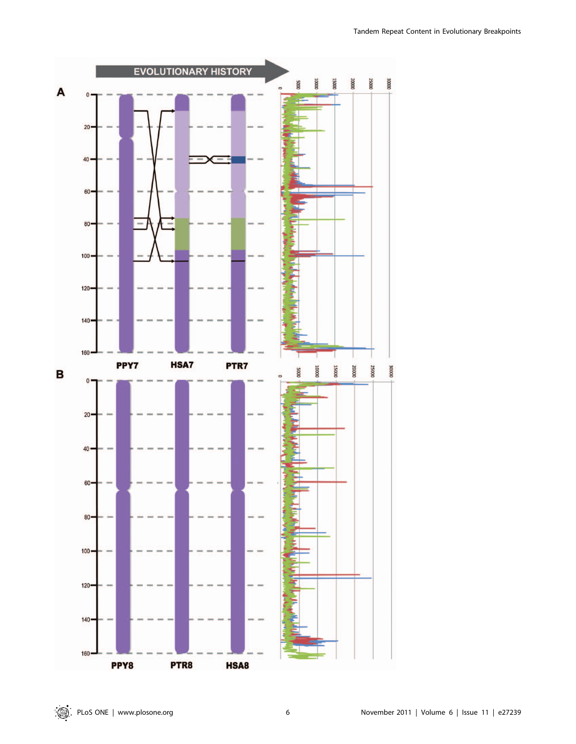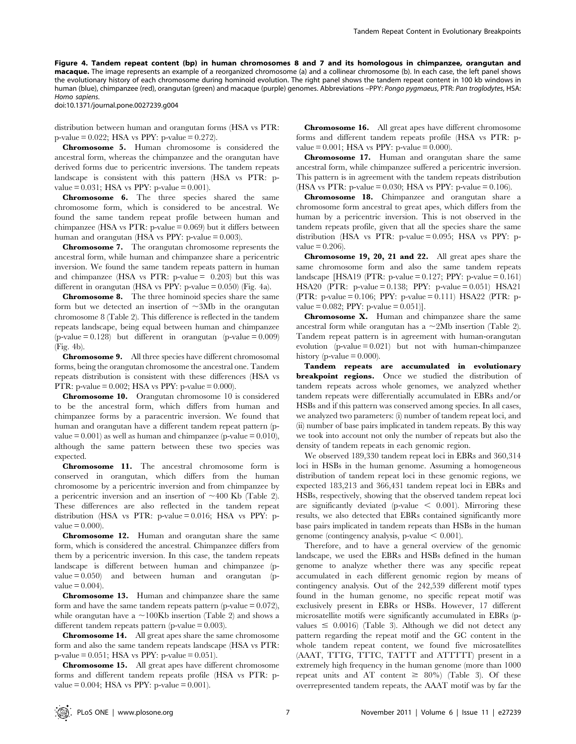Figure 4. Tandem repeat content (bp) in human chromosomes 8 and 7 and its homologous in chimpanzee, orangutan and macaque. The image represents an example of a reorganized chromosome (a) and a collinear chromosome (b). In each case, the left panel shows the evolutionary history of each chromosome during hominoid evolution. The right panel shows the tandem repeat content in 100 kb windows in human (blue), chimpanzee (red), orangutan (green) and macaque (purple) genomes. Abbreviations –PPY: Pongo pygmaeus, PTR: Pan troglodytes, HSA: Homo sapiens.

doi:10.1371/journal.pone.0027239.g004

distribution between human and orangutan forms (HSA vs PTR: p-value  $= 0.022$ ; HSA vs PPY: p-value  $= 0.272$ ).

Chromosome 5. Human chromosome is considered the ancestral form, whereas the chimpanzee and the orangutan have derived forms due to pericentric inversions. The tandem repeats landscape is consistent with this pattern (HSA vs PTR: pvalue =  $0.031$ ; HSA vs PPY: p-value =  $0.001$ ).

Chromosome 6. The three species shared the same chromosome form, which is considered to be ancestral. We found the same tandem repeat profile between human and chimpanzee (HSA vs PTR: p-value  $= 0.069$ ) but it differs between human and orangutan (HSA vs PPY:  $p$ -value = 0.003).

Chromosome 7. The orangutan chromosome represents the ancestral form, while human and chimpanzee share a pericentric inversion. We found the same tandem repeats pattern in human and chimpanzee (HSA vs PTR: p-value  $= 0.203$ ) but this was different in orangutan (HSA vs PPY: p-value  $= 0.050$ ) (Fig. 4a).

Chromosome 8. The three hominoid species share the same form but we detected an insertion of  $\sim$ 3Mb in the orangutan chromosome 8 (Table 2). This difference is reflected in the tandem repeats landscape, being equal between human and chimpanzee  $(p-value = 0.128)$  but different in orangutan  $(p-value = 0.009)$ (Fig. 4b).

Chromosome 9. All three species have different chromosomal forms, being the orangutan chromosome the ancestral one. Tandem repeats distribution is consistent with these differences (HSA vs PTR: p-value =  $0.002$ ; HSA vs PPY: p-value =  $0.000$ ).

Chromosome 10. Orangutan chromosome 10 is considered to be the ancestral form, which differs from human and chimpanzee forms by a paracentric inversion. We found that human and orangutan have a different tandem repeat pattern (pvalue  $= 0.001$ ) as well as human and chimpanzee (p-value  $= 0.010$ ), although the same pattern between these two species was expected.

Chromosome 11. The ancestral chromosome form is conserved in orangutan, which differs from the human chromosome by a pericentric inversion and from chimpanzee by a pericentric inversion and an insertion of  $\sim$ 400 Kb (Table 2). These differences are also reflected in the tandem repeat distribution (HSA vs PTR: p-value  $= 0.016$ ; HSA vs PPY: p $value = 0.000$ .

Chromosome 12. Human and orangutan share the same form, which is considered the ancestral. Chimpanzee differs from them by a pericentric inversion. In this case, the tandem repeats landscape is different between human and chimpanzee (pvalue  $= 0.050$  and between human and orangutan (pvalue  $= 0.004$ .

Chromosome 13. Human and chimpanzee share the same form and have the same tandem repeats pattern (p-value  $= 0.072$ ), while orangutan have a  $\sim$ 100Kb insertion (Table 2) and shows a different tandem repeats pattern (p-value = 0.003).

Chromosome 14. All great apes share the same chromosome form and also the same tandem repeats landscape (HSA vs PTR: p-value = 0.051; HSA vs PPY: p-value = 0.051).

Chromosome 15. All great apes have different chromosome forms and different tandem repeats profile (HSA vs PTR: pvalue =  $0.004$ ; HSA vs PPY: p-value =  $0.001$ ).

Chromosome 16. All great apes have different chromosome forms and different tandem repeats profile (HSA vs PTR: pvalue =  $0.001$ ; HSA vs PPY: p-value =  $0.000$ ).

Chromosome 17. Human and orangutan share the same ancestral form, while chimpanzee suffered a pericentric inversion. This pattern is in agreement with the tandem repeats distribution (HSA vs PTR: p-value =  $0.030$ ; HSA vs PPY: p-value =  $0.106$ ).

Chromosome 18. Chimpanzee and orangutan share a chromosome form ancestral to great apes, which differs from the human by a pericentric inversion. This is not observed in the tandem repeats profile, given that all the species share the same distribution (HSA vs PTR: p-value  $= 0.095$ ; HSA vs PPY: p $value = 0.206$ .

Chromosome 19, 20, 21 and 22. All great apes share the same chromosome form and also the same tandem repeats landscape [HSA19 (PTR: p-value =  $0.127$ ; PPY: p-value =  $0.161$ ) HSA20 (PTR: p-value = 0.138; PPY: p-value = 0.051) HSA21 (PTR: p-value = 0.106; PPY: p-value = 0.111) HSA22 (PTR: pvalue =  $0.082$ ; PPY: p-value =  $0.051$ ].

Chromosome X. Human and chimpanzee share the same ancestral form while orangutan has a  $\sim$  2Mb insertion (Table 2). Tandem repeat pattern is in agreement with human-orangutan evolution  $(p-value = 0.021)$  but not with human-chimpanzee history (p-value  $= 0.000$ ).

Tandem repeats are accumulated in evolutionary breakpoint regions. Once we studied the distribution of tandem repeats across whole genomes, we analyzed whether tandem repeats were differentially accumulated in EBRs and/or HSBs and if this pattern was conserved among species. In all cases, we analyzed two parameters: (i) number of tandem repeat loci, and (ii) number of base pairs implicated in tandem repeats. By this way we took into account not only the number of repeats but also the density of tandem repeats in each genomic region.

We observed 189,330 tandem repeat loci in EBRs and 360,314 loci in HSBs in the human genome. Assuming a homogeneous distribution of tandem repeat loci in these genomic regions, we expected 183,213 and 366,431 tandem repeat loci in EBRs and HSBs, respectively, showing that the observed tandem repeat loci are significantly deviated (p-value  $\leq$  0.001). Mirroring these results, we also detected that EBRs contained significantly more base pairs implicated in tandem repeats than HSBs in the human genome (contingency analysis, p-value  $\leq 0.001$ ).

Therefore, and to have a general overview of the genomic landscape, we used the EBRs and HSBs defined in the human genome to analyze whether there was any specific repeat accumulated in each different genomic region by means of contingency analysis. Out of the 242,539 different motif types found in the human genome, no specific repeat motif was exclusively present in EBRs or HSBs. However, 17 different microsatellite motifs were significantly accumulated in EBRs (pvalues  $\leq$  0.0016) (Table 3). Although we did not detect any pattern regarding the repeat motif and the GC content in the whole tandem repeat content, we found five microsatellites (AAAT, TTTG, TTTC, TATTT and ATTTTT) present in a extremely high frequency in the human genome (more than 1000 repeat units and AT content  $\geq 80\%$  (Table 3). Of these overrepresented tandem repeats, the AAAT motif was by far the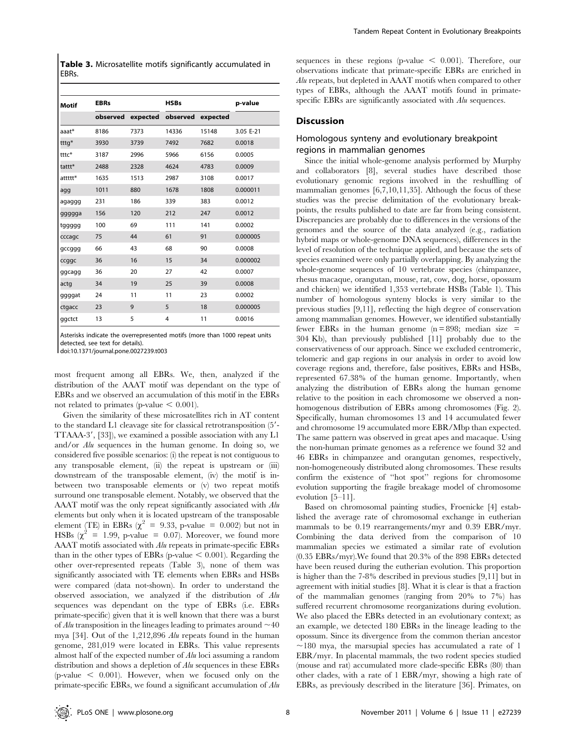Table 3. Microsatellite motifs significantly accumulated in EBRs.

| <b>Motif</b> | <b>EBRs</b> |                   | <b>HSBs</b> | p-value           |           |
|--------------|-------------|-------------------|-------------|-------------------|-----------|
|              |             | observed expected |             | observed expected |           |
| aaat*        | 8186        | 7373              | 14336       | 15148             | 3.05 E-21 |
| tttg*        | 3930        | 3739              | 7492        | 7682              | 0.0018    |
| tttc*        | 3187        | 2996              | 5966        | 6156              | 0.0005    |
| tattt*       | 2488        | 2328              | 4624        | 4783              | 0.0009    |
| attttt*      | 1635        | 1513              | 2987        | 3108              | 0.0017    |
| agg          | 1011        | 880               | 1678        | 1808              | 0.000011  |
| agaggg       | 231         | 186               | 339         | 383               | 0.0012    |
| ggggga       | 156         | 120               | 212         | 247               | 0.0012    |
| tggggg       | 100         | 69                | 111         | 141               | 0.0002    |
| cccagc       | 75          | 44                | 61          | 91                | 0.000005  |
| gccggg       | 66          | 43                | 68          | 90                | 0.0008    |
| ccggc        | 36          | 16                | 15          | 34                | 0.000002  |
| ggcagg       | 36          | 20                | 27          | 42                | 0.0007    |
| actg         | 34          | 19                | 25          | 39                | 0.0008    |
| ggggat       | 24          | 11                | 11          | 23                | 0.0002    |
| ctgacc       | 23          | 9                 | 5           | 18                | 0.000005  |
| ggctct       | 13          | 5                 | 4           | 11                | 0.0016    |

Asterisks indicate the overrepresented motifs (more than 1000 repeat units detected, see text for details).

doi:10.1371/journal.pone.0027239.t003

most frequent among all EBRs. We, then, analyzed if the distribution of the AAAT motif was dependant on the type of EBRs and we observed an accumulation of this motif in the EBRs not related to primates (p-value  $< 0.001$ ).

Given the similarity of these microsatellites rich in AT content to the standard L1 cleavage site for classical retrotransposition  $(5' TTAAA-3'$ , [33]), we examined a possible association with any L1 and/or Alu sequences in the human genome. In doing so, we considered five possible scenarios: (i) the repeat is not contiguous to any transposable element, (ii) the repeat is upstream or (iii) downstream of the transposable element, (iv) the motif is inbetween two transposable elements or (v) two repeat motifs surround one transposable element. Notably, we observed that the AAAT motif was the only repeat significantly associated with Alu elements but only when it is located upstream of the transposable element (TE) in EBRs ( $\chi^2$  = 9.33, p-value = 0.002) but not in HSBs  $(\chi^2 = 1.99, \text{ p-value } = 0.07)$ . Moreover, we found more AAAT motifs associated with Alu repeats in primate-specific EBRs than in the other types of EBRs (p-value  $< 0.001$ ). Regarding the other over-represented repeats (Table 3), none of them was significantly associated with TE elements when EBRs and HSBs were compared (data not-shown). In order to understand the observed association, we analyzed if the distribution of Alu sequences was dependant on the type of EBRs (i.e. EBRs primate-specific) given that it is well known that there was a burst of Alu transposition in the lineages leading to primates around  $\sim 40$ mya [34]. Out of the 1,212,896 Alu repeats found in the human genome, 281,019 were located in EBRs. This value represents almost half of the expected number of Alu loci assuming a random distribution and shows a depletion of Alu sequences in these EBRs (p-value  $\leq$  0.001). However, when we focused only on the primate-specific EBRs, we found a significant accumulation of Alu

sequences in these regions (p-value  $\leq$  0.001). Therefore, our observations indicate that primate-specific EBRs are enriched in Alu repeats, but depleted in AAAT motifs when compared to other types of EBRs, although the AAAT motifs found in primatespecific EBRs are significantly associated with Alu sequences.

#### Discussion

#### Homologous synteny and evolutionary breakpoint regions in mammalian genomes

Since the initial whole-genome analysis performed by Murphy and collaborators [8], several studies have described those evolutionary genomic regions involved in the reshuffling of mammalian genomes [6,7,10,11,35]. Although the focus of these studies was the precise delimitation of the evolutionary breakpoints, the results published to date are far from being consistent. Discrepancies are probably due to differences in the versions of the genomes and the source of the data analyzed (e.g., radiation hybrid maps or whole-genome DNA sequences), differences in the level of resolution of the technique applied, and because the sets of species examined were only partially overlapping. By analyzing the whole-genome sequences of 10 vertebrate species (chimpanzee, rhesus macaque, orangutan, mouse, rat, cow, dog, horse, opossum and chicken) we identified 1,353 vertebrate HSBs (Table 1). This number of homologous synteny blocks is very similar to the previous studies [9,11], reflecting the high degree of conservation among mammalian genomes. However, we identified substantially fewer EBRs in the human genome  $(n = 898)$ ; median size = 304 Kb), than previously published [11] probably due to the conservativeness of our approach. Since we excluded centromeric, telomeric and gap regions in our analysis in order to avoid low coverage regions and, therefore, false positives, EBRs and HSBs, represented 67.38% of the human genome. Importantly, when analyzing the distribution of EBRs along the human genome relative to the position in each chromosome we observed a nonhomogenous distribution of EBRs among chromosomes (Fig. 2). Specifically, human chromosomes 13 and 14 accumulated fewer and chromosome 19 accumulated more EBR/Mbp than expected. The same pattern was observed in great apes and macaque. Using the non-human primate genomes as a reference we found 32 and 46 EBRs in chimpanzee and orangutan genomes, respectively, non-homogeneously distributed along chromosomes. These results confirm the existence of ''hot spot'' regions for chromosome evolution supporting the fragile breakage model of chromosome evolution [5–11].

Based on chromosomal painting studies, Froenicke [4] established the average rate of chromosomal exchange in eutherian mammals to be 0.19 rearrangements/myr and 0.39 EBR/myr. Combining the data derived from the comparison of 10 mammalian species we estimated a similar rate of evolution (0.35 EBRs/myr).We found that 20.3% of the 898 EBRs detected have been reused during the eutherian evolution. This proportion is higher than the 7-8% described in previous studies [9,11] but in agreement with initial studies [8]. What it is clear is that a fraction of the mammalian genomes (ranging from 20% to 7%) has suffered recurrent chromosome reorganizations during evolution. We also placed the EBRs detected in an evolutionary context; as an example, we detected 180 EBRs in the lineage leading to the opossum. Since its divergence from the common therian ancestor  $\sim$ 180 mya, the marsupial species has accumulated a rate of 1 EBR/myr. In placental mammals, the two rodent species studied (mouse and rat) accumulated more clade-specific EBRs (80) than other clades, with a rate of 1 EBR/myr, showing a high rate of EBRs, as previously described in the literature [36]. Primates, on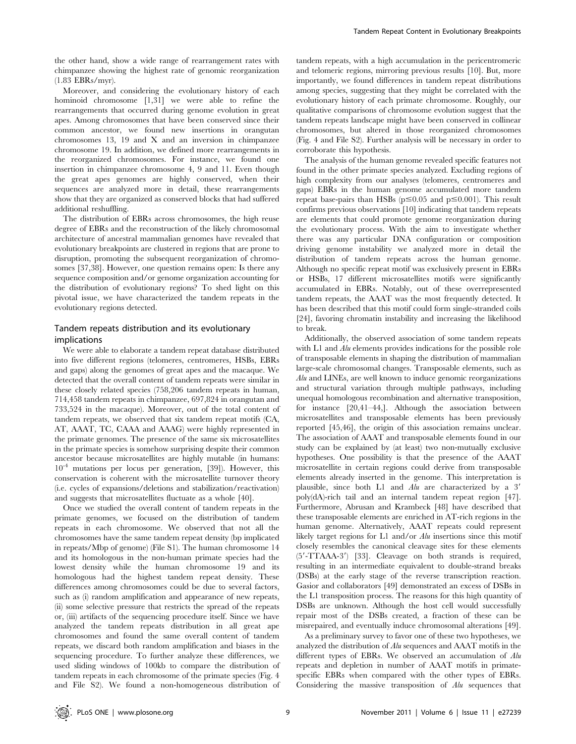Moreover, and considering the evolutionary history of each hominoid chromosome [1,31] we were able to refine the rearrangements that occurred during genome evolution in great apes. Among chromosomes that have been conserved since their common ancestor, we found new insertions in orangutan chromosomes 13, 19 and X and an inversion in chimpanzee chromosome 19. In addition, we defined more rearrangements in the reorganized chromosomes. For instance, we found one insertion in chimpanzee chromosome 4, 9 and 11. Even though the great apes genomes are highly conserved, when their sequences are analyzed more in detail, these rearrangements show that they are organized as conserved blocks that had suffered additional reshuffling.

The distribution of EBRs across chromosomes, the high reuse degree of EBRs and the reconstruction of the likely chromosomal architecture of ancestral mammalian genomes have revealed that evolutionary breakpoints are clustered in regions that are prone to disruption, promoting the subsequent reorganization of chromosomes [37,38]. However, one question remains open: Is there any sequence composition and/or genome organization accounting for the distribution of evolutionary regions? To shed light on this pivotal issue, we have characterized the tandem repeats in the evolutionary regions detected.

#### Tandem repeats distribution and its evolutionary implications

We were able to elaborate a tandem repeat database distributed into five different regions (telomeres, centromeres, HSBs, EBRs and gaps) along the genomes of great apes and the macaque. We detected that the overall content of tandem repeats were similar in these closely related species (758,206 tandem repeats in human, 714,458 tandem repeats in chimpanzee, 697,824 in orangutan and 733,524 in the macaque). Moreover, out of the total content of tandem repeats, we observed that six tandem repeat motifs (CA, AT, AAAT, TC, CAAA and AAAG) were highly represented in the primate genomes. The presence of the same six microsatellites in the primate species is somehow surprising despite their common ancestor because microsatellites are highly mutable (in humans:  $10^{-4}$  mutations per locus per generation, [39]). However, this conservation is coherent with the microsatellite turnover theory (i.e. cycles of expansions/deletions and stabilization/reactivation) and suggests that microsatellites fluctuate as a whole [40].

Once we studied the overall content of tandem repeats in the primate genomes, we focused on the distribution of tandem repeats in each chromosome. We observed that not all the chromosomes have the same tandem repeat density (bp implicated in repeats/Mbp of genome) (File S1). The human chromosome 14 and its homologous in the non-human primate species had the lowest density while the human chromosome 19 and its homologous had the highest tandem repeat density. These differences among chromosomes could be due to several factors, such as (i) random amplification and appearance of new repeats, (ii) some selective pressure that restricts the spread of the repeats or, (iii) artifacts of the sequencing procedure itself. Since we have analyzed the tandem repeats distribution in all great ape chromosomes and found the same overall content of tandem repeats, we discard both random amplification and biases in the sequencing procedure. To further analyze these differences, we used sliding windows of 100kb to compare the distribution of tandem repeats in each chromosome of the primate species (Fig. 4 and File S2). We found a non-homogeneous distribution of tandem repeats, with a high accumulation in the pericentromeric and telomeric regions, mirroring previous results [10]. But, more importantly, we found differences in tandem repeat distributions among species, suggesting that they might be correlated with the evolutionary history of each primate chromosome. Roughly, our qualitative comparisons of chromosome evolution suggest that the tandem repeats landscape might have been conserved in collinear chromosomes, but altered in those reorganized chromosomes (Fig. 4 and File S2). Further analysis will be necessary in order to corroborate this hypothesis.

The analysis of the human genome revealed specific features not found in the other primate species analyzed. Excluding regions of high complexity from our analyses (telomeres, centromeres and gaps) EBRs in the human genome accumulated more tandem repeat base-pairs than HSBs ( $p \le 0.05$  and  $p \le 0.001$ ). This result confirms previous observations [10] indicating that tandem repeats are elements that could promote genome reorganization during the evolutionary process. With the aim to investigate whether there was any particular DNA configuration or composition driving genome instability we analyzed more in detail the distribution of tandem repeats across the human genome. Although no specific repeat motif was exclusively present in EBRs or HSBs, 17 different microsatellites motifs were significantly accumulated in EBRs. Notably, out of these overrepresented tandem repeats, the AAAT was the most frequently detected. It has been described that this motif could form single-stranded coils [24], favoring chromatin instability and increasing the likelihood to break.

Additionally, the observed association of some tandem repeats with L1 and *Alu* elements provides indications for the possible role of transposable elements in shaping the distribution of mammalian large-scale chromosomal changes. Transposable elements, such as Alu and LINEs, are well known to induce genomic reorganizations and structural variation through multiple pathways, including unequal homologous recombination and alternative transposition, for instance [20,41–44,]. Although the association between microsatellites and transposable elements has been previously reported [45,46], the origin of this association remains unclear. The association of AAAT and transposable elements found in our study can be explained by (at least) two non-mutually exclusive hypotheses. One possibility is that the presence of the AAAT microsatellite in certain regions could derive from transposable elements already inserted in the genome. This interpretation is plausible, since both L1 and  $Alu$  are characterized by a 3' poly(dA)-rich tail and an internal tandem repeat region [47]. Furthermore, Abrusan and Krambeck [48] have described that these transposable elements are enriched in AT-rich regions in the human genome. Alternatively, AAAT repeats could represent likely target regions for L1 and/or Alu insertions since this motif closely resembles the canonical cleavage sites for these elements  $(5'$ -TTAAA-3') [33]. Cleavage on both strands is required, resulting in an intermediate equivalent to double-strand breaks (DSBs) at the early stage of the reverse transcription reaction. Gasior and collaborators [49] demonstrated an excess of DSBs in the L1 transposition process. The reasons for this high quantity of DSBs are unknown. Although the host cell would successfully repair most of the DSBs created, a fraction of these can be misrepaired, and eventually induce chromosomal alterations [49].

As a preliminary survey to favor one of these two hypotheses, we analyzed the distribution of Alu sequences and AAAT motifs in the different types of EBRs. We observed an accumulation of Alu repeats and depletion in number of AAAT motifs in primatespecific EBRs when compared with the other types of EBRs. Considering the massive transposition of Alu sequences that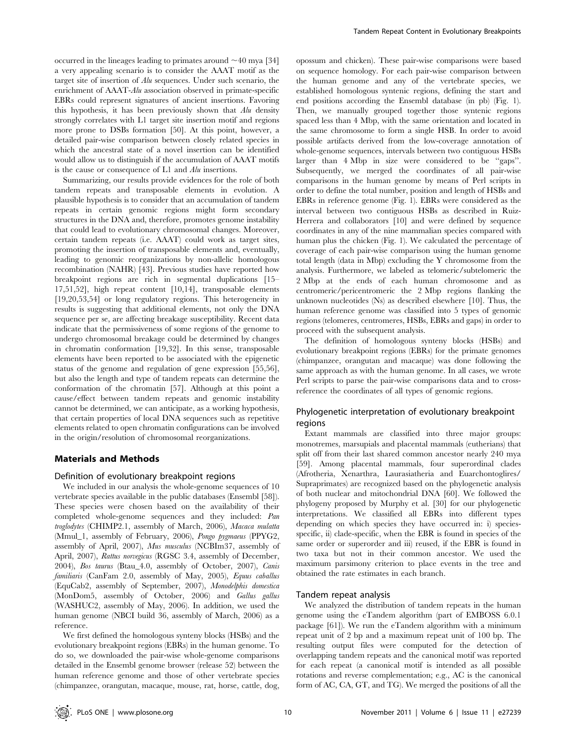occurred in the lineages leading to primates around  $\sim$  40 mya [34] a very appealing scenario is to consider the AAAT motif as the target site of insertion of Alu sequences. Under such scenario, the enrichment of AAAT-Alu association observed in primate-specific EBRs could represent signatures of ancient insertions. Favoring this hypothesis, it has been previously shown that  $\Lambda$ lu density strongly correlates with L1 target site insertion motif and regions more prone to DSBs formation [50]. At this point, however, a detailed pair-wise comparison between closely related species in which the ancestral state of a novel insertion can be identified would allow us to distinguish if the accumulation of AAAT motifs is the cause or consequence of L1 and Alu insertions.

Summarizing, our results provide evidences for the role of both tandem repeats and transposable elements in evolution. A plausible hypothesis is to consider that an accumulation of tandem repeats in certain genomic regions might form secondary structures in the DNA and, therefore, promotes genome instability that could lead to evolutionary chromosomal changes. Moreover, certain tandem repeats (i.e. AAAT) could work as target sites, promoting the insertion of transposable elements and, eventually, leading to genomic reorganizations by non-allelic homologous recombination (NAHR) [43]. Previous studies have reported how breakpoint regions are rich in segmental duplications [15– 17,51,52], high repeat content [10,14], transposable elements [19,20,53,54] or long regulatory regions. This heterogeneity in results is suggesting that additional elements, not only the DNA sequence per se, are affecting breakage susceptibility. Recent data indicate that the permissiveness of some regions of the genome to undergo chromosomal breakage could be determined by changes in chromatin conformation [19,32]. In this sense, transposable elements have been reported to be associated with the epigenetic status of the genome and regulation of gene expression [55,56], but also the length and type of tandem repeats can determine the conformation of the chromatin [57]. Although at this point a cause/effect between tandem repeats and genomic instability cannot be determined, we can anticipate, as a working hypothesis, that certain properties of local DNA sequences such as repetitive elements related to open chromatin configurations can be involved in the origin/resolution of chromosomal reorganizations.

#### Materials and Methods

#### Definition of evolutionary breakpoint regions

We included in our analysis the whole-genome sequences of 10 vertebrate species available in the public databases (Ensembl [58]). These species were chosen based on the availability of their completed whole-genome sequences and they included: Pan troglodytes (CHIMP2.1, assembly of March, 2006), Macaca mulatta (Mmul\_1, assembly of February, 2006), Pongo pygmaeus (PPYG2, assembly of April, 2007), Mus musculus (NCBIm37, assembly of April, 2007), Rattus norvegicus (RGSC 3.4, assembly of December, 2004), Bos taurus (Btau\_4.0, assembly of October, 2007), Canis familiaris (CanFam 2.0, assembly of May, 2005), Equus caballus (EquCab2, assembly of September, 2007), Monodelphis domestica (MonDom5, assembly of October, 2006) and Gallus gallus (WASHUC2, assembly of May, 2006). In addition, we used the human genome (NBCI build 36, assembly of March, 2006) as a reference.

We first defined the homologous synteny blocks (HSBs) and the evolutionary breakpoint regions (EBRs) in the human genome. To do so, we downloaded the pair-wise whole-genome comparisons detailed in the Ensembl genome browser (release 52) between the human reference genome and those of other vertebrate species (chimpanzee, orangutan, macaque, mouse, rat, horse, cattle, dog,

opossum and chicken). These pair-wise comparisons were based on sequence homology. For each pair-wise comparison between the human genome and any of the vertebrate species, we established homologous syntenic regions, defining the start and end positions according the Ensembl database (in pb) (Fig. 1). Then, we manually grouped together those syntenic regions spaced less than 4 Mbp, with the same orientation and located in the same chromosome to form a single HSB. In order to avoid possible artifacts derived from the low-coverage annotation of whole-genome sequences, intervals between two contiguous HSBs larger than 4 Mbp in size were considered to be ''gaps''. Subsequently, we merged the coordinates of all pair-wise comparisons in the human genome by means of Perl scripts in order to define the total number, position and length of HSBs and EBRs in reference genome (Fig. 1). EBRs were considered as the interval between two contiguous HSBs as described in Ruiz-Herrera and collaborators [10] and were defined by sequence coordinates in any of the nine mammalian species compared with human plus the chicken (Fig. 1). We calculated the percentage of coverage of each pair-wise comparison using the human genome total length (data in Mbp) excluding the Y chromosome from the analysis. Furthermore, we labeled as telomeric/subtelomeric the 2 Mbp at the ends of each human chromosome and as centromeric/pericentromeric the 2 Mbp regions flanking the unknown nucleotides (Ns) as described elsewhere [10]. Thus, the human reference genome was classified into 5 types of genomic regions (telomeres, centromeres, HSBs, EBRs and gaps) in order to proceed with the subsequent analysis.

The definition of homologous synteny blocks (HSBs) and evolutionary breakpoint regions (EBRs) for the primate genomes (chimpanzee, orangutan and macaque) was done following the same approach as with the human genome. In all cases, we wrote Perl scripts to parse the pair-wise comparisons data and to crossreference the coordinates of all types of genomic regions.

#### Phylogenetic interpretation of evolutionary breakpoint regions

Extant mammals are classified into three major groups: monotremes, marsupials and placental mammals (eutherians) that split off from their last shared common ancestor nearly 240 mya [59]. Among placental mammals, four superordinal clades (Afrotheria, Xenarthra, Laurasiatheria and Euarchontoglires/ Supraprimates) are recognized based on the phylogenetic analysis of both nuclear and mitochondrial DNA [60]. We followed the phylogeny proposed by Murphy et al. [30] for our phylogenetic interpretations. We classified all EBRs into different types depending on which species they have occurred in: i) speciesspecific, ii) clade-specific, when the EBR is found in species of the same order or superorder and iii) reused, if the EBR is found in two taxa but not in their common ancestor. We used the maximum parsimony criterion to place events in the tree and obtained the rate estimates in each branch.

#### Tandem repeat analysis

We analyzed the distribution of tandem repeats in the human genome using the eTandem algorithm (part of EMBOSS 6.0.1 package [61]). We run the eTandem algorithm with a minimum repeat unit of 2 bp and a maximum repeat unit of 100 bp. The resulting output files were computed for the detection of overlapping tandem repeats and the canonical motif was reported for each repeat (a canonical motif is intended as all possible rotations and reverse complementation; e.g., AC is the canonical form of AC, CA, GT, and TG). We merged the positions of all the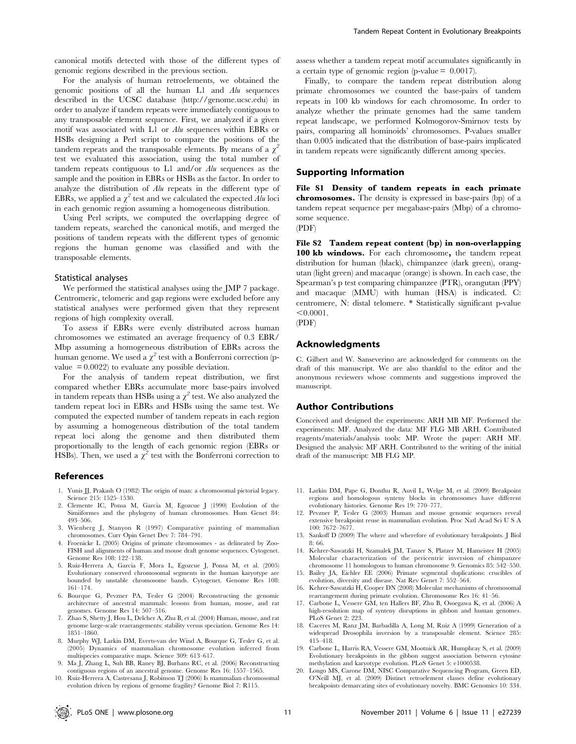canonical motifs detected with those of the different types of genomic regions described in the previous section.

For the analysis of human retroelements, we obtained the genomic positions of all the human L1 and Alu sequences described in the UCSC database (http://genome.ucsc.edu) in order to analyze if tandem repeats were immediately contiguous to any transposable element sequence. First, we analyzed if a given motif was associated with L1 or Alu sequences within EBRs or HSBs designing a Perl script to compare the positions of the tandem repeats and the transposable elements. By means of a  $\chi^2$ test we evaluated this association, using the total number of tandem repeats contiguous to L1 and/or Alu sequences as the sample and the position in EBRs or HSBs as the factor. In order to analyze the distribution of Alu repeats in the different type of EBRs, we applied a  $\chi^2$  test and we calculated the expected Alu loci in each genomic region assuming a homogeneous distribution.

Using Perl scripts, we computed the overlapping degree of tandem repeats, searched the canonical motifs, and merged the positions of tandem repeats with the different types of genomic regions the human genome was classified and with the transposable elements.

#### Statistical analyses

We performed the statistical analyses using the JMP 7 package. Centromeric, telomeric and gap regions were excluded before any statistical analyses were performed given that they represent regions of high complexity overall.

To assess if EBRs were evenly distributed across human chromosomes we estimated an average frequency of 0.3 EBR/ Mbp assuming a homogeneous distribution of EBRs across the human genome. We used a  $\chi^2$  test with a Bonferroni correction (pvalue  $= 0.0022$  to evaluate any possible deviation.

For the analysis of tandem repeat distribution, we first compared whether EBRs accumulate more base-pairs involved in tandem repeats than HSBs using a  $\chi^2$  test. We also analyzed the tandem repeat loci in EBRs and HSBs using the same test. We computed the expected number of tandem repeats in each region by assuming a homogeneous distribution of the total tandem repeat loci along the genome and then distributed them proportionally to the length of each genomic region (EBRs or HSBs). Then, we used a  $\chi^2$  test with the Bonferroni correction to

#### References

- 1. Yunis JJ, Prakash O (1982) The origin of man: a chromosomal pictorial legacy. Science 215: 1525–1530.
- 2. Clemente IC, Ponsa M, Garcia M, Egozcue J (1990) Evolution of the Simiiformes and the phylogeny of human chromosomes. Hum Genet 84: 493–506.
- 3. Wienberg J, Stanyon R (1997) Comparative painting of mammalian chromosomes. Curr Opin Genet Dev 7: 784–791.
- 4. Froenicke L (2005) Origins of primate chromosomes as delineated by Zoo-FISH and alignments of human and mouse draft genome sequences. Cytogenet. Genome Res 108: 122–138.
- 5. Ruiz-Herrera A, Garcia F, Mora L, Egozcue J, Ponsa M, et al. (2005) Evolutionary conserved chromosomal segments in the human karyotype are bounded by unstable chromosome bands. Cytogenet. Genome Res 108: 161–174.
- 6. Bourque G, Pevzner PA, Tesler G (2004) Reconstructing the genomic architecture of ancestral mammals: lessons from human, mouse, and rat genomes. Genome Res 14: 507–516.
- 7. Zhao S, Shetty J, Hou L, Delcher A, Zhu B, et al. (2004) Human, mouse, and rat genome large-scale rearrangements: stability versus speciation. Genome Res 14: 1851–1860.
- 8. Murphy WJ, Larkin DM, Everts-van der Wind A, Bourque G, Tesler G, et al. (2005) Dynamics of mammalian chromosome evolution inferred from multispecies comparative maps. Science 309: 613–617.
- 9. Ma J, Zhang L, Suh BB, Raney BJ, Burhans RC, et al. (2006) Reconstructing contiguous regions of an ancestral genome. Genome Res 16: 1557–1565.
- 10. Ruiz-Herrera A, Castresana J, Robinson TJ (2006) Is mammalian chromosomal evolution driven by regions of genome fragility? Genome Biol 7: R115.

assess whether a tandem repeat motif accumulates significantly in a certain type of genomic region (p-value  $= 0.0017$ ).

Finally, to compare the tandem repeat distribution along primate chromosomes we counted the base-pairs of tandem repeats in 100 kb windows for each chromosome. In order to analyze whether the primate genomes had the same tandem repeat landscape, we performed Kolmogorov-Smirnov tests by pairs, comparing all hominoids' chromosomes. P-values smaller than 0.005 indicated that the distribution of base-pairs implicated in tandem repeats were significantly different among species.

#### Supporting Information

File S1 Density of tandem repeats in each primate chromosomes. The density is expressed in base-pairs (bp) of a tandem repeat sequence per megabase-pairs (Mbp) of a chromosome sequence.

(PDF)

File S2 Tandem repeat content (bp) in non-overlapping 100 kb windows. For each chromosome, the tandem repeat distribution for human (black), chimpanzee (dark green), orangutan (light green) and macaque (orange) is shown. In each case, the Spearman's p test comparing chimpanzee (PTR), orangutan (PPY) and macaque (MMU) with human (HSA) is indicated. C: centromere, N: distal telomere. \* Statistically significant p-value  $< 0.0001$ .

(PDF)

#### Acknowledgments

C. Gilbert and W. Sanseverino are acknowledged for comments on the draft of this manuscript. We are also thankful to the editor and the anonymous reviewers whose comments and suggestions improved the manuscript.

#### Author Contributions

Conceived and designed the experiments: ARH MB MF. Performed the experiments: MF. Analyzed the data: MF FLG MB ARH. Contributed reagents/materials/analysis tools: MP. Wrote the paper: ARH MF. Designed the analysis: MF ARH. Contributed to the writing of the initial draft of the manuscript: MB FLG MP.

- 11. Larkin DM, Pape G, Donthu R, Auvil L, Welge M, et al. (2009) Breakpoint regions and homologous synteny blocks in chromosomes have different evolutionary histories. Genome Res 19: 770–777.
- 12. Pevzner P, Tesler G (2003) Human and mouse genomic sequences reveal extensive breakpoint reuse in mammalian evolution. Proc Natl Acad Sci U S A 100: 7672–7677.
- 13. Sankoff D (2009) The where and wherefore of evolutionary breakpoints. J Biol 8: 66.
- 14. Kehrer-Sawatzki H, Szamalek JM, Tanzer S, Platzer M, Hameister H (2005) Molecular characterization of the pericentric inversion of chimpanzee chromosome 11 homologous to human chromosome 9. Genomics 85: 542–550.
- 15. Bailey JA, Eichler EE (2006) Primate segmental duplications: crucibles of evolution, diversity and disease. Nat Rev Genet 7: 552–564.
- 16. Kehrer-Sawatzki H, Cooper DN (2008) Molecular mechanisms of chromosomal rearrangement during primate evolution. Chromosome Res 16: 41–56. 17. Carbone L, Vessere GM, ten Hallers BF, Zhu B, Osoegawa K, et al. (2006) A
- high-resolution map of synteny disruptions in gibbon and human genomes. PLoS Genet 2: 223.
- 18. Caceres M, Ranz JM, Barbadilla A, Long M, Ruiz A (1999) Generation of a widespread Drosophila inversion by a transposable element. Science 285: 415–418.
- 19. Carbone L, Harris RA, Vessere GM, Mootnick AR, Humphray S, et al. (2009) Evolutionary breakpoints in the gibbon suggest association between cytosine methylation and karyotype evolution. PLoS Genet 5: e1000538.
- 20. Longo MS, Carone DM, NISC Comparative Sequencing Program, Green ED, O'Neill MJ, et al. (2009) Distinct retroelement classes define evolutionary breakpoints demarcating sites of evolutionary novelty. BMC Genomics 10: 334.